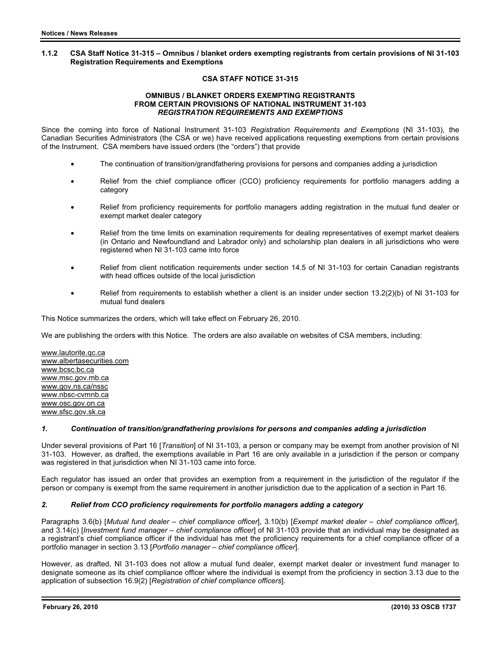### **1.1.2 CSA Staff Notice 31-315 – Omnibus / blanket orders exempting registrants from certain provisions of NI 31-103 Registration Requirements and Exemptions**

# **CSA STAFF NOTICE 31-315**

#### **OMNIBUS / BLANKET ORDERS EXEMPTING REGISTRANTS FROM CERTAIN PROVISIONS OF NATIONAL INSTRUMENT 31-103**  *REGISTRATION REQUIREMENTS AND EXEMPTIONS*

Since the coming into force of National Instrument 31-103 *Registration Requirements and Exemptions* (NI 31-103), the Canadian Securities Administrators (the CSA or we) have received applications requesting exemptions from certain provisions of the Instrument. CSA members have issued orders (the "orders") that provide

- The continuation of transition/grandfathering provisions for persons and companies adding a jurisdiction
- Relief from the chief compliance officer (CCO) proficiency requirements for portfolio managers adding a category
- Relief from proficiency requirements for portfolio managers adding registration in the mutual fund dealer or exempt market dealer category
- Relief from the time limits on examination requirements for dealing representatives of exempt market dealers (in Ontario and Newfoundland and Labrador only) and scholarship plan dealers in all jurisdictions who were registered when NI 31-103 came into force
- Relief from client notification requirements under section 14.5 of NI 31-103 for certain Canadian registrants with head offices outside of the local jurisdiction
- Relief from requirements to establish whether a client is an insider under section 13.2(2)(b) of NI 31-103 for mutual fund dealers

This Notice summarizes the orders, which will take effect on February 26, 2010.

We are publishing the orders with this Notice. The orders are also available on websites of CSA members, including:

www.lautorite.qc.ca www.albertasecurities.com www.bcsc.bc.ca www.msc.gov.mb.ca www.gov.ns.ca/nssc www.nbsc-cvmnb.ca www.osc.gov.on.ca www.sfsc.gov.sk.ca

## *1. Continuation of transition/grandfathering provisions for persons and companies adding a jurisdiction*

Under several provisions of Part 16 [*Transition*] of NI 31-103, a person or company may be exempt from another provision of NI 31-103. However, as drafted, the exemptions available in Part 16 are only available in a jurisdiction if the person or company was registered in that jurisdiction when NI 31-103 came into force.

Each regulator has issued an order that provides an exemption from a requirement in the jurisdiction of the regulator if the person or company is exempt from the same requirement in another jurisdiction due to the application of a section in Part 16.

## *2. Relief from CCO proficiency requirements for portfolio managers adding a category*

Paragraphs 3.6(b) [*Mutual fund dealer – chief compliance officer*], 3.10(b) [*Exempt market dealer – chief compliance officer*], and 3.14(c) [*Investment fund manager – chief compliance officer*] of NI 31-103 provide that an individual may be designated as a registrant's chief compliance officer if the individual has met the proficiency requirements for a chief compliance officer of a portfolio manager in section 3.13 [*Portfolio manager – chief compliance officer*].

However, as drafted, NI 31-103 does not allow a mutual fund dealer, exempt market dealer or investment fund manager to designate someone as its chief compliance officer where the individual is exempt from the proficiency in section 3.13 due to the application of subsection 16.9(2) [*Registration of chief compliance officers*].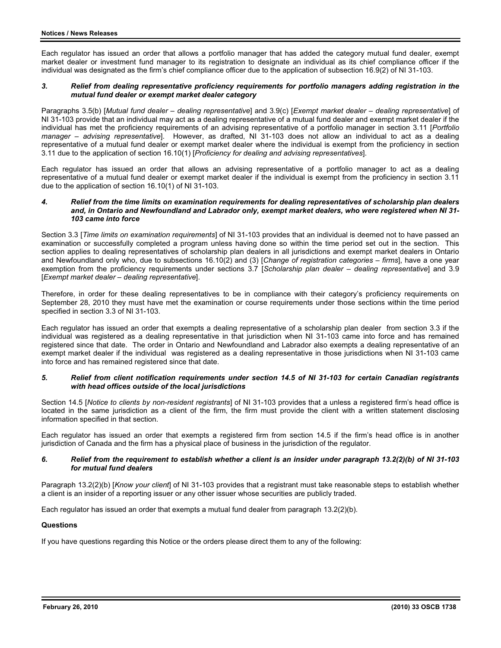Each regulator has issued an order that allows a portfolio manager that has added the category mutual fund dealer, exempt market dealer or investment fund manager to its registration to designate an individual as its chief compliance officer if the individual was designated as the firm's chief compliance officer due to the application of subsection 16.9(2) of NI 31-103.

### *3. Relief from dealing representative proficiency requirements for portfolio managers adding registration in the mutual fund dealer or exempt market dealer category*

Paragraphs 3.5(b) [*Mutual fund dealer – dealing representative*] and 3.9(c) [*Exempt market dealer – dealing representative*] of NI 31-103 provide that an individual may act as a dealing representative of a mutual fund dealer and exempt market dealer if the individual has met the proficiency requirements of an advising representative of a portfolio manager in section 3.11 [*Portfolio manager – advising representative*]. However, as drafted, NI 31-103 does not allow an individual to act as a dealing representative of a mutual fund dealer or exempt market dealer where the individual is exempt from the proficiency in section 3.11 due to the application of section 16.10(1) [*Proficiency for dealing and advising representatives*].

Each regulator has issued an order that allows an advising representative of a portfolio manager to act as a dealing representative of a mutual fund dealer or exempt market dealer if the individual is exempt from the proficiency in section 3.11 due to the application of section 16.10(1) of NI 31-103.

#### *4. Relief from the time limits on examination requirements for dealing representatives of scholarship plan dealers and, in Ontario and Newfoundland and Labrador only, exempt market dealers, who were registered when NI 31- 103 came into force*

Section 3.3 [*Time limits on examination requirements*] of NI 31-103 provides that an individual is deemed not to have passed an examination or successfully completed a program unless having done so within the time period set out in the section. This section applies to dealing representatives of scholarship plan dealers in all jurisdictions and exempt market dealers in Ontario and Newfoundland only who, due to subsections 16.10(2) and (3) [*Change of registration categories – firms*], have a one year exemption from the proficiency requirements under sections 3.7 [*Scholarship plan dealer – dealing representative*] and 3.9 [*Exempt market dealer – dealing representative*].

Therefore, in order for these dealing representatives to be in compliance with their category's proficiency requirements on September 28, 2010 they must have met the examination or course requirements under those sections within the time period specified in section 3.3 of NI 31-103.

Each regulator has issued an order that exempts a dealing representative of a scholarship plan dealer from section 3.3 if the individual was registered as a dealing representative in that jurisdiction when NI 31-103 came into force and has remained registered since that date. The order in Ontario and Newfoundland and Labrador also exempts a dealing representative of an exempt market dealer if the individual was registered as a dealing representative in those jurisdictions when NI 31-103 came into force and has remained registered since that date.

#### *5. Relief from client notification requirements under section 14.5 of NI 31-103 for certain Canadian registrants with head offices outside of the local jurisdictions*

Section 14.5 [*Notice to clients by non-resident registrants*] of NI 31-103 provides that a unless a registered firm's head office is located in the same jurisdiction as a client of the firm, the firm must provide the client with a written statement disclosing information specified in that section.

Each regulator has issued an order that exempts a registered firm from section 14.5 if the firm's head office is in another jurisdiction of Canada and the firm has a physical place of business in the jurisdiction of the regulator.

#### *6. Relief from the requirement to establish whether a client is an insider under paragraph 13.2(2)(b) of NI 31-103 for mutual fund dealers*

Paragraph 13.2(2)(b) [*Know your client*] of NI 31-103 provides that a registrant must take reasonable steps to establish whether a client is an insider of a reporting issuer or any other issuer whose securities are publicly traded.

Each regulator has issued an order that exempts a mutual fund dealer from paragraph 13.2(2)(b).

### **Questions**

If you have questions regarding this Notice or the orders please direct them to any of the following: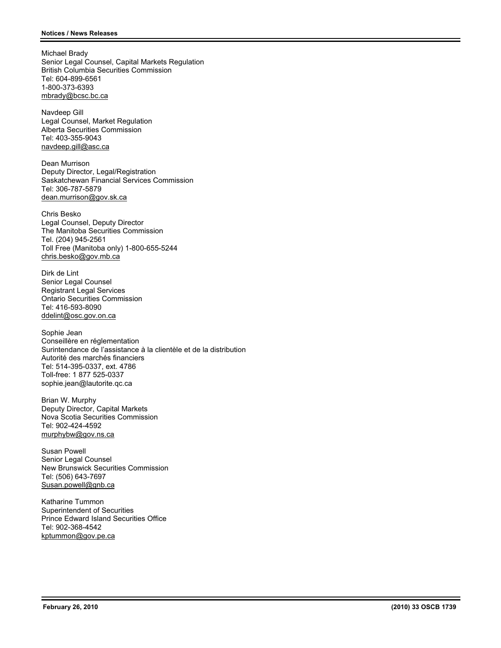Michael Brady Senior Legal Counsel, Capital Markets Regulation British Columbia Securities Commission Tel: 604-899-6561 1-800-373-6393 mbrady@bcsc.bc.ca

Navdeep Gill Legal Counsel, Market Regulation Alberta Securities Commission Tel: 403-355-9043 navdeep.gill@asc.ca

Dean Murrison Deputy Director, Legal/Registration Saskatchewan Financial Services Commission Tel: 306-787-5879 dean.murrison@gov.sk.ca

Chris Besko Legal Counsel, Deputy Director The Manitoba Securities Commission Tel. (204) 945-2561 Toll Free (Manitoba only) 1-800-655-5244 chris.besko@gov.mb.ca

Dirk de Lint Senior Legal Counsel Registrant Legal Services Ontario Securities Commission Tel: 416-593-8090 ddelint@osc.gov.on.ca

Sophie Jean Conseillère en réglementation Surintendance de l'assistance à la clientèle et de la distribution Autorité des marchés financiers Tel: 514-395-0337, ext. 4786 Toll-free: 1 877 525-0337 sophie.jean@lautorite.qc.ca

Brian W. Murphy Deputy Director, Capital Markets Nova Scotia Securities Commission Tel: 902-424-4592 murphybw@gov.ns.ca

Susan Powell Senior Legal Counsel New Brunswick Securities Commission Tel: (506) 643-7697 Susan.powell@gnb.ca

Katharine Tummon Superintendent of Securities Prince Edward Island Securities Office Tel: 902-368-4542 kptummon@gov.pe.ca